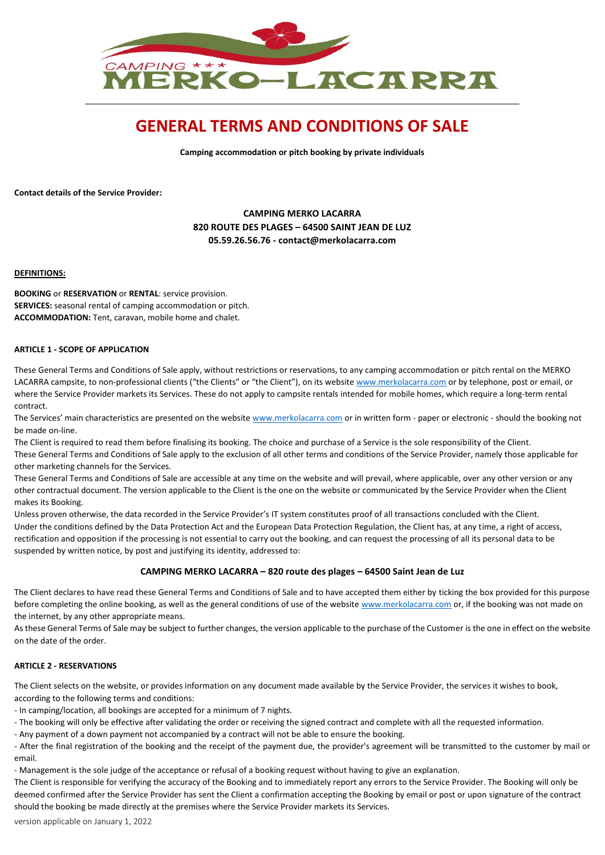

# **GENERAL TERMS AND CONDITIONS OF SALE**

**Camping accommodation or pitch booking by private individuals**

**Contact details of the Service Provider:**

# **CAMPING MERKO LACARRA 820 ROUTE DES PLAGES – 64500 SAINT JEAN DE LUZ 05.59.26.56.76 - contact@merkolacarra.com**

## **DEFINITIONS:**

**BOOKING** or **RESERVATION** or **RENTAL**: service provision. **SERVICES:** seasonal rental of camping accommodation or pitch. **ACCOMMODATION:** Tent, caravan, mobile home and chalet.

## **ARTICLE 1 - SCOPE OF APPLICATION**

These General Terms and Conditions of Sale apply, without restrictions or reservations, to any camping accommodation or pitch rental on the MERKO LACARRA campsite, to non-professional clients ("the Clients" or "the Client"), on its website [www.merkolacarra.com](http://www.merkolacarra.com/) or by telephone, post or email, or where the Service Provider markets its Services. These do not apply to campsite rentals intended for mobile homes, which require a long-term rental contract.

The Services' main characteristics are presented on the website [www.merkolacarra.com](http://www.merkolacarra.com/) or in written form - paper or electronic - should the booking not be made on-line.

The Client is required to read them before finalising its booking. The choice and purchase of a Service is the sole responsibility of the Client. These General Terms and Conditions of Sale apply to the exclusion of all other terms and conditions of the Service Provider, namely those applicable for other marketing channels for the Services.

These General Terms and Conditions of Sale are accessible at any time on the website and will prevail, where applicable, over any other version or any other contractual document. The version applicable to the Client is the one on the website or communicated by the Service Provider when the Client makes its Booking.

Unless proven otherwise, the data recorded in the Service Provider's IT system constitutes proof of all transactions concluded with the Client. Under the conditions defined by the Data Protection Act and the European Data Protection Regulation, the Client has, at any time, a right of access, rectification and opposition if the processing is not essential to carry out the booking, and can request the processing of all its personal data to be suspended by written notice, by post and justifying its identity, addressed to:

## **CAMPING MERKO LACARRA – 820 route des plages – 64500 Saint Jean de Luz**

The Client declares to have read these General Terms and Conditions of Sale and to have accepted them either by ticking the box provided for this purpose before completing the online booking, as well as the general conditions of use of the website [www.merkolacarra.com](http://www.merkolacarra.com/) or, if the booking was not made on the internet, by any other appropriate means.

As these General Terms of Sale may be subject to further changes, the version applicable to the purchase of the Customer is the one in effect on the website on the date of the order.

## **ARTICLE 2 - RESERVATIONS**

The Client selects on the website, or provides information on any document made available by the Service Provider, the services it wishes to book, according to the following terms and conditions:

- In camping/location, all bookings are accepted for a minimum of 7 nights.

- The booking will only be effective after validating the order or receiving the signed contract and complete with all the requested information.

- Any payment of a down payment not accompanied by a contract will not be able to ensure the booking.

- After the final registration of the booking and the receipt of the payment due, the provider's agreement will be transmitted to the customer by mail or email.

- Management is the sole judge of the acceptance or refusal of a booking request without having to give an explanation.

The Client is responsible for verifying the accuracy of the Booking and to immediately report any errors to the Service Provider. The Booking will only be deemed confirmed after the Service Provider has sent the Client a confirmation accepting the Booking by email or post or upon signature of the contract should the booking be made directly at the premises where the Service Provider markets its Services.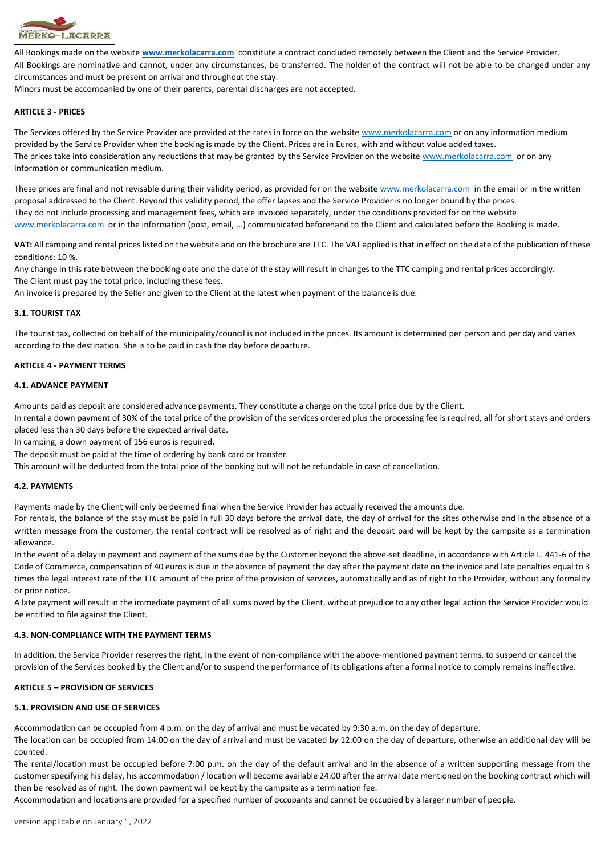

All Bookings made on the website **[www.merkolacarra.com](http://www.merkolacarra.com/)** constitute a contract concluded remotely between the Client and the Service Provider. All Bookings are nominative and cannot, under any circumstances, be transferred. The holder of the contract will not be able to be changed under any circumstances and must be present on arrival and throughout the stay.

Minors must be accompanied by one of their parents, parental discharges are not accepted.

# **ARTICLE 3 - PRICES**

The Services offered by the Service Provider are provided at the rates in force on the website [www.merkolacarra.com](http://www.merkolacarra.com/) or on any information medium provided by the Service Provider when the booking is made by the Client. Prices are in Euros, with and without value added taxes. The prices take into consideration any reductions that may be granted by the Service Provider on the website [www.merkolacarra.com](http://www.merkolacarra.com/) or on any information or communication medium.

These prices are final and not revisable during their validity period, as provided for on the website [www.merkolacarra.com](http://www.merkolacarra.com/) in the email or in the written proposal addressed to the Client. Beyond this validity period, the offer lapses and the Service Provider is no longer bound by the prices. They do not include processing and management fees, which are invoiced separately, under the conditions provided for on the website [www.merkolacarra.com](http://www.merkolacarra.com/) or in the information (post, email, ...) communicated beforehand to the Client and calculated before the Booking is made.

**VAT:** All camping and rental prices listed on the website and on the brochure are TTC. The VAT applied is that in effect on the date of the publication of these conditions: 10 %.

Any change in this rate between the booking date and the date of the stay will result in changes to the TTC camping and rental prices accordingly. The Client must pay the total price, including these fees.

An invoice is prepared by the Seller and given to the Client at the latest when payment of the balance is due.

# **3.1. TOURIST TAX**

The tourist tax, collected on behalf of the municipality/council is not included in the prices. Its amount is determined per person and per day and varies according to the destination. She is to be paid in cash the day before departure.

## **ARTICLE 4 - PAYMENT TERMS**

## **4.1. ADVANCE PAYMENT**

Amounts paid as deposit are considered advance payments. They constitute a charge on the total price due by the Client.

In rental a down payment of 30% of the total price of the provision of the services ordered plus the processing fee is required, all for short stays and orders placed less than 30 days before the expected arrival date.

In camping, a down payment of 156 euros is required.

The deposit must be paid at the time of ordering by bank card or transfer.

This amount will be deducted from the total price of the booking but will not be refundable in case of cancellation.

## **4.2. PAYMENTS**

Payments made by the Client will only be deemed final when the Service Provider has actually received the amounts due.

For rentals, the balance of the stay must be paid in full 30 days before the arrival date, the day of arrival for the sites otherwise and in the absence of a written message from the customer, the rental contract will be resolved as of right and the deposit paid will be kept by the campsite as a termination allowance.

In the event of a delay in payment and payment of the sums due by the Customer beyond the above-set deadline, in accordance with Article L. 441-6 of the Code of Commerce, compensation of 40 euros is due in the absence of payment the day after the payment date on the invoice and late penalties equal to 3 times the legal interest rate of the TTC amount of the price of the provision of services, automatically and as of right to the Provider, without any formality or prior notice.

A late payment will result in the immediate payment of all sums owed by the Client, without prejudice to any other legal action the Service Provider would be entitled to file against the Client.

## **4.3. NON-COMPLIANCE WITH THE PAYMENT TERMS**

In addition, the Service Provider reserves the right, in the event of non-compliance with the above-mentioned payment terms, to suspend or cancel the provision of the Services booked by the Client and/or to suspend the performance of its obligations after a formal notice to comply remains ineffective.

## **ARTICLE 5 – PROVISION OF SERVICES**

## **5.1. PROVISION AND USE OF SERVICES**

Accommodation can be occupied from 4 p.m. on the day of arrival and must be vacated by 9:30 a.m. on the day of departure.

The location can be occupied from 14:00 on the day of arrival and must be vacated by 12:00 on the day of departure, otherwise an additional day will be counted.

The rental/location must be occupied before 7:00 p.m. on the day of the default arrival and in the absence of a written supporting message from the customer specifying his delay, his accommodation / location will become available 24:00 after the arrival date mentioned on the booking contract which will then be resolved as of right. The down payment will be kept by the campsite as a termination fee.

Accommodation and locations are provided for a specified number of occupants and cannot be occupied by a larger number of people.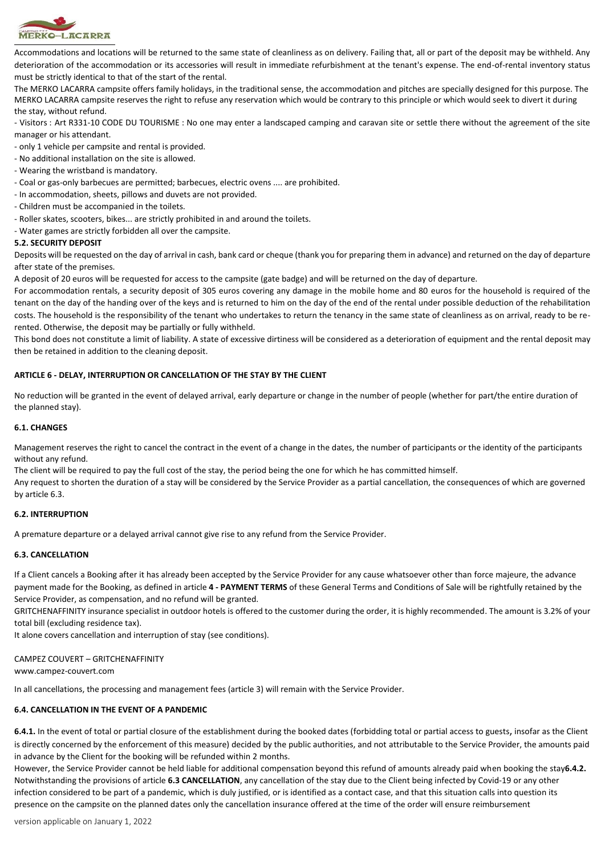

Accommodations and locations will be returned to the same state of cleanliness as on delivery. Failing that, all or part of the deposit may be withheld. Any deterioration of the accommodation or its accessories will result in immediate refurbishment at the tenant's expense. The end-of-rental inventory status must be strictly identical to that of the start of the rental.

The MERKO LACARRA campsite offers family holidays, in the traditional sense, the accommodation and pitches are specially designed for this purpose. The MERKO LACARRA campsite reserves the right to refuse any reservation which would be contrary to this principle or which would seek to divert it during the stay, without refund.

- Visitors : Art R331-10 CODE DU TOURISME : No one may enter a landscaped camping and caravan site or settle there without the agreement of the site manager or his attendant.

- only 1 vehicle per campsite and rental is provided.
- No additional installation on the site is allowed.
- Wearing the wristband is mandatory.
- Coal or gas-only barbecues are permitted; barbecues, electric ovens .... are prohibited.
- In accommodation, sheets, pillows and duvets are not provided.
- Children must be accompanied in the toilets.
- Roller skates, scooters, bikes... are strictly prohibited in and around the toilets.
- Water games are strictly forbidden all over the campsite.

#### **5.2. SECURITY DEPOSIT**

Deposits will be requested on the day of arrival in cash, bank card or cheque (thank you for preparing them in advance) and returned on the day of departure after state of the premises.

A deposit of 20 euros will be requested for access to the campsite (gate badge) and will be returned on the day of departure.

For accommodation rentals, a security deposit of 305 euros covering any damage in the mobile home and 80 euros for the household is required of the tenant on the day of the handing over of the keys and is returned to him on the day of the end of the rental under possible deduction of the rehabilitation costs. The household is the responsibility of the tenant who undertakes to return the tenancy in the same state of cleanliness as on arrival, ready to be rerented. Otherwise, the deposit may be partially or fully withheld.

This bond does not constitute a limit of liability. A state of excessive dirtiness will be considered as a deterioration of equipment and the rental deposit may then be retained in addition to the cleaning deposit.

## **ARTICLE 6 - DELAY, INTERRUPTION OR CANCELLATION OF THE STAY BY THE CLIENT**

No reduction will be granted in the event of delayed arrival, early departure or change in the number of people (whether for part/the entire duration of the planned stay).

#### **6.1. CHANGES**

Management reserves the right to cancel the contract in the event of a change in the dates, the number of participants or the identity of the participants without any refund.

The client will be required to pay the full cost of the stay, the period being the one for which he has committed himself.

Any request to shorten the duration of a stay will be considered by the Service Provider as a partial cancellation, the consequences of which are governed by article 6.3.

#### **6.2. INTERRUPTION**

A premature departure or a delayed arrival cannot give rise to any refund from the Service Provider.

#### **6.3. CANCELLATION**

If a Client cancels a Booking after it has already been accepted by the Service Provider for any cause whatsoever other than force majeure, the advance payment made for the Booking, as defined in article **4 - PAYMENT TERMS** of these General Terms and Conditions of Sale will be rightfully retained by the Service Provider, as compensation, and no refund will be granted.

GRITCHENAFFINITY insurance specialist in outdoor hotels is offered to the customer during the order, it is highly recommended. The amount is 3.2% of your total bill (excluding residence tax).

It alone covers cancellation and interruption of stay (see conditions).

#### CAMPEZ COUVERT – GRITCHENAFFINITY

www.campez-couvert.com

In all cancellations, the processing and management fees (article 3) will remain with the Service Provider.

## **6.4. CANCELLATION IN THE EVENT OF A PANDEMIC**

**6.4.1.** In the event of total or partial closure of the establishment during the booked dates (forbidding total or partial access to guests, insofar as the Client is directly concerned by the enforcement of this measure) decided by the public authorities, and not attributable to the Service Provider, the amounts paid in advance by the Client for the booking will be refunded within 2 months.

However, the Service Provider cannot be held liable for additional compensation beyond this refund of amounts already paid when booking the stay**6.4.2.** Notwithstanding the provisions of article **6.3 CANCELLATION**, any cancellation of the stay due to the Client being infected by Covid-19 or any other infection considered to be part of a pandemic, which is duly justified, or is identified as a contact case, and that this situation calls into question its presence on the campsite on the planned dates only the cancellation insurance offered at the time of the order will ensure reimbursement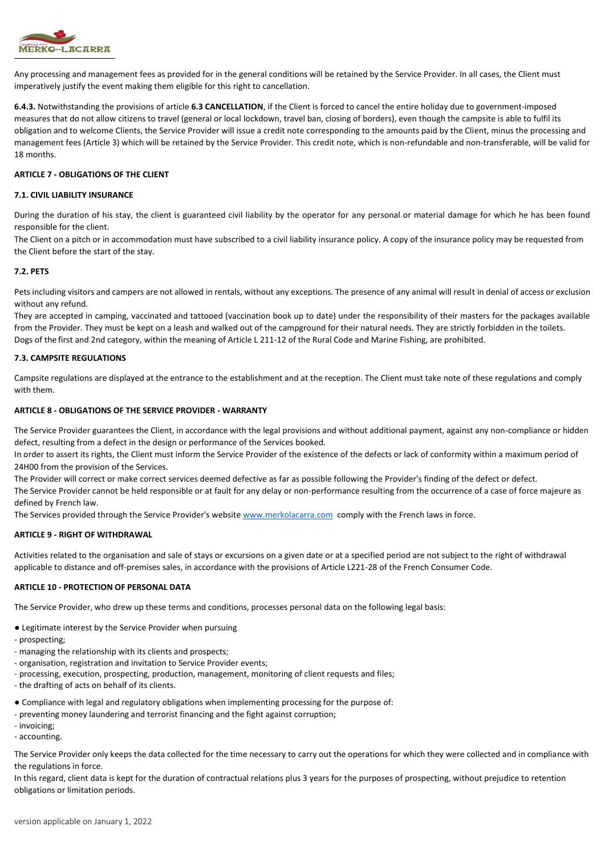

Any processing and management fees as provided for in the general conditions will be retained by the Service Provider. In all cases, the Client must imperatively justify the event making them eligible for this right to cancellation.

**6.4.3.** Notwithstanding the provisions of article **6.3 CANCELLATION**, if the Client is forced to cancel the entire holiday due to government-imposed measures that do not allow citizens to travel (general or local lockdown, travel ban, closing of borders), even though the campsite is able to fulfil its obligation and to welcome Clients, the Service Provider will issue a credit note corresponding to the amounts paid by the Client, minus the processing and management fees (Article 3) which will be retained by the Service Provider. This credit note, which is non-refundable and non-transferable, will be valid for 18 months.

## **ARTICLE 7 - OBLIGATIONS OF THE CLIENT**

### **7.1. CIVIL LIABILITY INSURANCE**

During the duration of his stay, the client is guaranteed civil liability by the operator for any personal or material damage for which he has been found responsible for the client.

The Client on a pitch or in accommodation must have subscribed to a civil liability insurance policy. A copy of the insurance policy may be requested from the Client before the start of the stay.

#### **7.2. PETS**

Pets including visitors and campers are not allowed in rentals, without any exceptions. The presence of any animal will result in denial of access or exclusion without any refund.

They are accepted in camping, vaccinated and tattooed (vaccination book up to date) under the responsibility of their masters for the packages available from the Provider. They must be kept on a leash and walked out of the campground for their natural needs. They are strictly forbidden in the toilets. Dogs of the first and 2nd category, within the meaning of Article L 211-12 of the Rural Code and Marine Fishing, are prohibited.

## **7.3. CAMPSITE REGULATIONS**

Campsite regulations are displayed at the entrance to the establishment and at the reception. The Client must take note of these regulations and comply with them.

#### **ARTICLE 8 - OBLIGATIONS OF THE SERVICE PROVIDER - WARRANTY**

The Service Provider guarantees the Client, in accordance with the legal provisions and without additional payment, against any non-compliance or hidden defect, resulting from a defect in the design or performance of the Services booked.

In order to assert its rights, the Client must inform the Service Provider of the existence of the defects or lack of conformity within a maximum period of 24H00 from the provision of the Services.

The Provider will correct or make correct services deemed defective as far as possible following the Provider's finding of the defect or defect. The Service Provider cannot be held responsible or at fault for any delay or non-performance resulting from the occurrence of a case of force majeure as

defined by French law.

The Services provided through the Service Provider's website [www.merkolacarra.com](http://www.merkolacarra.com/) comply with the French laws in force.

## **ARTICLE 9 - RIGHT OF WITHDRAWAL**

Activities related to the organisation and sale of stays or excursions on a given date or at a specified period are not subject to the right of withdrawal applicable to distance and off-premises sales, in accordance with the provisions of Article L221-28 of the French Consumer Code.

## **ARTICLE 10 - PROTECTION OF PERSONAL DATA**

The Service Provider, who drew up these terms and conditions, processes personal data on the following legal basis:

- Legitimate interest by the Service Provider when pursuing
- prospecting;
- managing the relationship with its clients and prospects;
- organisation, registration and invitation to Service Provider events;
- processing, execution, prospecting, production, management, monitoring of client requests and files;
- the drafting of acts on behalf of its clients.
- Compliance with legal and regulatory obligations when implementing processing for the purpose of:
- preventing money laundering and terrorist financing and the fight against corruption;
- invoicing;
- accounting.

The Service Provider only keeps the data collected for the time necessary to carry out the operations for which they were collected and in compliance with the regulations in force.

In this regard, client data is kept for the duration of contractual relations plus 3 years for the purposes of prospecting, without prejudice to retention obligations or limitation periods.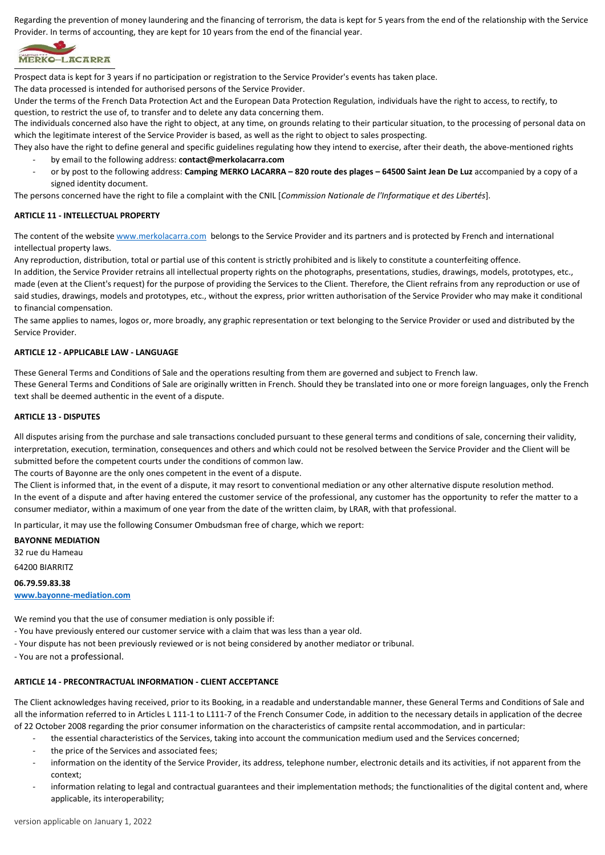Regarding the prevention of money laundering and the financing of terrorism, the data is kept for 5 years from the end of the relationship with the Service Provider. In terms of accounting, they are kept for 10 years from the end of the financial year.



Prospect data is kept for 3 years if no participation or registration to the Service Provider's events has taken place.

The data processed is intended for authorised persons of the Service Provider.

Under the terms of the French Data Protection Act and the European Data Protection Regulation, individuals have the right to access, to rectify, to question, to restrict the use of, to transfer and to delete any data concerning them.

The individuals concerned also have the right to object, at any time, on grounds relating to their particular situation, to the processing of personal data on which the legitimate interest of the Service Provider is based, as well as the right to object to sales prospecting.

They also have the right to define general and specific guidelines regulating how they intend to exercise, after their death, the above-mentioned rights - by email to the following address: **contact@merkolacarra.com**

- or by post to the following address: **Camping MERKO LACARRA – 820 route des plages – 64500 Saint Jean De Luz** accompanied by a copy of a signed identity document.

The persons concerned have the right to file a complaint with the CNIL [*Commission Nationale de l'Informatique et des Libertés*].

## **ARTICLE 11 - INTELLECTUAL PROPERTY**

The content of the website [www.merkolacarra.com](http://www.merkolacarra.com/) belongs to the Service Provider and its partners and is protected by French and international intellectual property laws.

Any reproduction, distribution, total or partial use of this content is strictly prohibited and is likely to constitute a counterfeiting offence.

In addition, the Service Provider retrains all intellectual property rights on the photographs, presentations, studies, drawings, models, prototypes, etc., made (even at the Client's request) for the purpose of providing the Services to the Client. Therefore, the Client refrains from any reproduction or use of said studies, drawings, models and prototypes, etc., without the express, prior written authorisation of the Service Provider who may make it conditional to financial compensation.

The same applies to names, logos or, more broadly, any graphic representation or text belonging to the Service Provider or used and distributed by the Service Provider.

## **ARTICLE 12 - APPLICABLE LAW - LANGUAGE**

These General Terms and Conditions of Sale and the operations resulting from them are governed and subject to French law.

These General Terms and Conditions of Sale are originally written in French. Should they be translated into one or more foreign languages, only the French text shall be deemed authentic in the event of a dispute.

## **ARTICLE 13 - DISPUTES**

All disputes arising from the purchase and sale transactions concluded pursuant to these general terms and conditions of sale, concerning their validity, interpretation, execution, termination, consequences and others and which could not be resolved between the Service Provider and the Client will be submitted before the competent courts under the conditions of common law.

The courts of Bayonne are the only ones competent in the event of a dispute.

The Client is informed that, in the event of a dispute, it may resort to conventional mediation or any other alternative dispute resolution method. In the event of a dispute and after having entered the customer service of the professional, any customer has the opportunity to refer the matter to a consumer mediator, within a maximum of one year from the date of the written claim, by LRAR, with that professional.

In particular, it may use the following Consumer Ombudsman free of charge, which we report:

## **BAYONNE MEDIATION**

32 rue du Hameau

# 64200 BIARRITZ

**06.79.59.83.38**

## **[www.bayonne-mediation.com](http://www.bayonne-mediation.com/mediation-de-la-consommation)**

We remind you that the use of consumer mediation is only possible if:

- You have previously entered our customer service with a claim that was less than a year old.
- Your dispute has not been previously reviewed or is not being considered by another mediator or tribunal.
- You are not a professional.

# **ARTICLE 14 - PRECONTRACTUAL INFORMATION - CLIENT ACCEPTANCE**

The Client acknowledges having received, prior to its Booking, in a readable and understandable manner, these General Terms and Conditions of Sale and all the information referred to in Articles L 111-1 to L111-7 of the French Consumer Code, in addition to the necessary details in application of the decree of 22 October 2008 regarding the prior consumer information on the characteristics of campsite rental accommodation, and in particular:

- the essential characteristics of the Services, taking into account the communication medium used and the Services concerned;
- the price of the Services and associated fees;
- information on the identity of the Service Provider, its address, telephone number, electronic details and its activities, if not apparent from the context;
- information relating to legal and contractual guarantees and their implementation methods; the functionalities of the digital content and, where applicable, its interoperability;